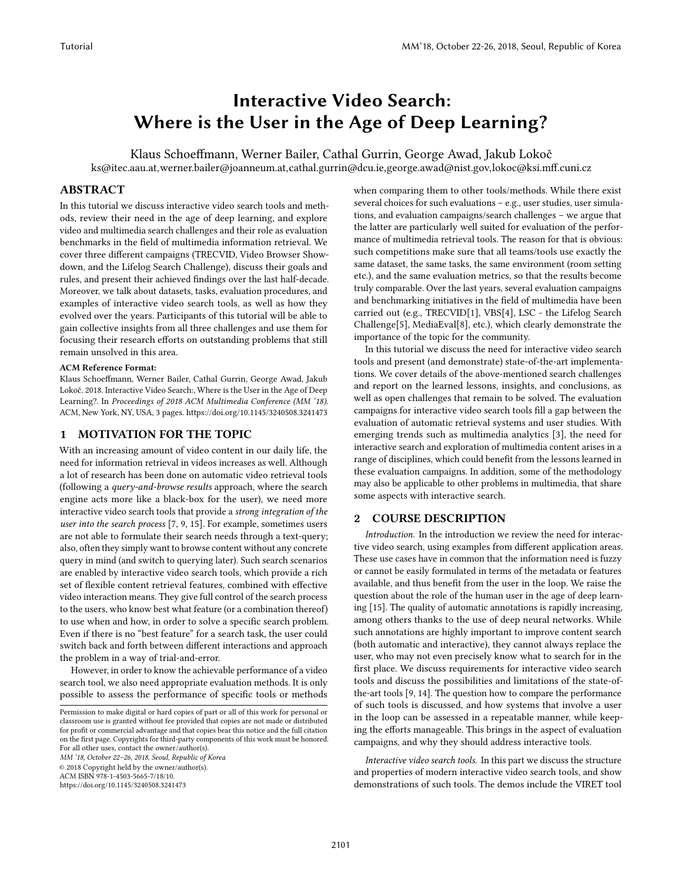# Interactive Video Search: Where is the User in the Age of Deep Learning?

Klaus Schoeffmann, Werner Bailer, Cathal Gurrin, George Awad, Jakub Lokoč ks@itec.aau.at,werner.bailer@joanneum.at,cathal.gurrin@dcu.ie,george.awad@nist.gov,lokoc@ksi.mff.cuni.cz

### ABSTRACT

In this tutorial we discuss interactive video search tools and methods, review their need in the age of deep learning, and explore video and multimedia search challenges and their role as evaluation benchmarks in the field of multimedia information retrieval. We cover three different campaigns (TRECVID, Video Browser Showdown, and the Lifelog Search Challenge), discuss their goals and rules, and present their achieved findings over the last half-decade. Moreover, we talk about datasets, tasks, evaluation procedures, and examples of interactive video search tools, as well as how they evolved over the years. Participants of this tutorial will be able to gain collective insights from all three challenges and use them for focusing their research efforts on outstanding problems that still remain unsolved in this area.

#### ACM Reference Format:

Klaus Schoeffmann, Werner Bailer, Cathal Gurrin, George Awad, Jakub Lokoč. 2018. Interactive Video Search:, Where is the User in the Age of Deep Learning?. In Proceedings of 2018 ACM Multimedia Conference (MM '18). ACM, New York, NY, USA, [3](#page-2-0) pages.<https://doi.org/10.1145/3240508.3241473>

#### 1 MOTIVATION FOR THE TOPIC

With an increasing amount of video content in our daily life, the need for information retrieval in videos increases as well. Although a lot of research has been done on automatic video retrieval tools (following a query-and-browse results approach, where the search engine acts more like a black-box for the user), we need more interactive video search tools that provide a strong integration of the user into the search process [\[7,](#page-2-1) [9,](#page-2-2) [15\]](#page-2-3). For example, sometimes users are not able to formulate their search needs through a text-query; also, often they simply want to browse content without any concrete query in mind (and switch to querying later). Such search scenarios are enabled by interactive video search tools, which provide a rich set of flexible content retrieval features, combined with effective video interaction means. They give full control of the search process to the users, who know best what feature (or a combination thereof) to use when and how, in order to solve a specific search problem. Even if there is no "best feature" for a search task, the user could switch back and forth between different interactions and approach the problem in a way of trial-and-error.

However, in order to know the achievable performance of a video search tool, we also need appropriate evaluation methods. It is only possible to assess the performance of specific tools or methods

MM '18, October 22–26, 2018, Seoul, Republic of Korea © 2018 Copyright held by the owner/author(s). ACM ISBN 978-1-4503-5665-7/18/10.

<https://doi.org/10.1145/3240508.3241473>

when comparing them to other tools/methods. While there exist several choices for such evaluations – e.g., user studies, user simulations, and evaluation campaigns/search challenges – we argue that the latter are particularly well suited for evaluation of the performance of multimedia retrieval tools. The reason for that is obvious: such competitions make sure that all teams/tools use exactly the same dataset, the same tasks, the same environment (room setting etc.), and the same evaluation metrics, so that the results become truly comparable. Over the last years, several evaluation campaigns and benchmarking initiatives in the field of multimedia have been carried out (e.g., TRECVID[\[1\]](#page-2-4), VBS[\[4\]](#page-2-5), LSC - the Lifelog Search Challenge[\[5\]](#page-2-6), MediaEval[\[8\]](#page-2-7), etc.), which clearly demonstrate the importance of the topic for the community.

In this tutorial we discuss the need for interactive video search tools and present (and demonstrate) state-of-the-art implementations. We cover details of the above-mentioned search challenges and report on the learned lessons, insights, and conclusions, as well as open challenges that remain to be solved. The evaluation campaigns for interactive video search tools fill a gap between the evaluation of automatic retrieval systems and user studies. With emerging trends such as multimedia analytics [\[3\]](#page-2-8), the need for interactive search and exploration of multimedia content arises in a range of disciplines, which could benefit from the lessons learned in these evaluation campaigns. In addition, some of the methodology may also be applicable to other problems in multimedia, that share some aspects with interactive search.

#### 2 COURSE DESCRIPTION

Introduction. In the introduction we review the need for interactive video search, using examples from different application areas. These use cases have in common that the information need is fuzzy or cannot be easily formulated in terms of the metadata or features available, and thus benefit from the user in the loop. We raise the question about the role of the human user in the age of deep learning [\[15\]](#page-2-3). The quality of automatic annotations is rapidly increasing, among others thanks to the use of deep neural networks. While such annotations are highly important to improve content search (both automatic and interactive), they cannot always replace the user, who may not even precisely know what to search for in the first place. We discuss requirements for interactive video search tools and discuss the possibilities and limitations of the state-ofthe-art tools [\[9,](#page-2-2) [14\]](#page-2-9). The question how to compare the performance of such tools is discussed, and how systems that involve a user in the loop can be assessed in a repeatable manner, while keeping the efforts manageable. This brings in the aspect of evaluation campaigns, and why they should address interactive tools.

Interactive video search tools. In this part we discuss the structure and properties of modern interactive video search tools, and show demonstrations of such tools. The demos include the VIRET tool

Permission to make digital or hard copies of part or all of this work for personal or classroom use is granted without fee provided that copies are not made or distributed for profit or commercial advantage and that copies bear this notice and the full citation on the first page. Copyrights for third-party components of this work must be honored. For all other uses, contact the owner/author(s).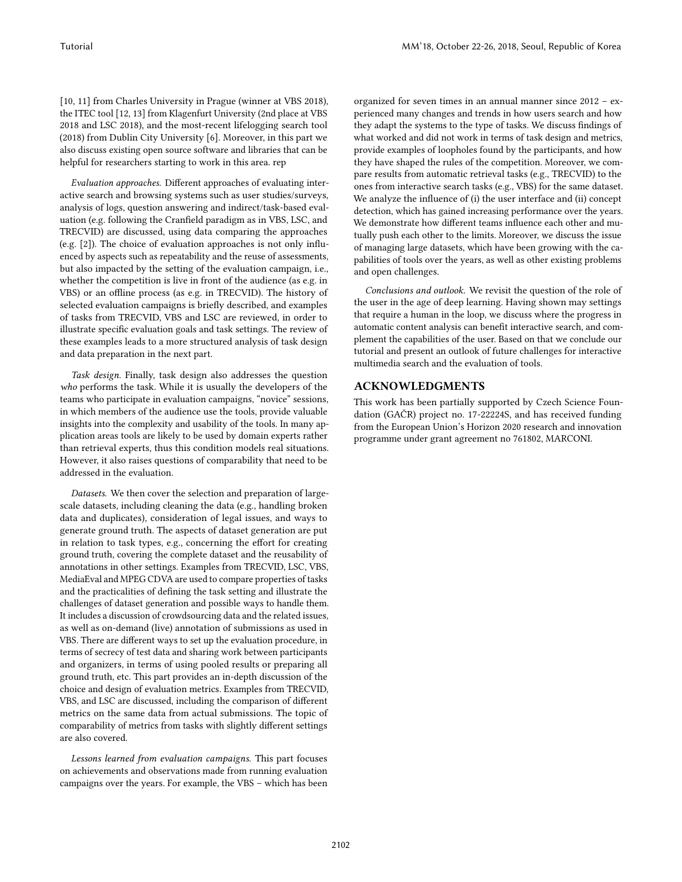[\[10,](#page-2-10) [11\]](#page-2-11) from Charles University in Prague (winner at VBS 2018), the ITEC tool [\[12,](#page-2-12) [13\]](#page-2-13) from Klagenfurt University (2nd place at VBS 2018 and LSC 2018), and the most-recent lifelogging search tool (2018) from Dublin City University [\[6\]](#page-2-14). Moreover, in this part we also discuss existing open source software and libraries that can be helpful for researchers starting to work in this area. rep

Evaluation approaches. Different approaches of evaluating interactive search and browsing systems such as user studies/surveys, analysis of logs, question answering and indirect/task-based evaluation (e.g. following the Cranfield paradigm as in VBS, LSC, and TRECVID) are discussed, using data comparing the approaches (e.g. [\[2\]](#page-2-15)). The choice of evaluation approaches is not only influenced by aspects such as repeatability and the reuse of assessments, but also impacted by the setting of the evaluation campaign, i.e., whether the competition is live in front of the audience (as e.g. in VBS) or an offline process (as e.g. in TRECVID). The history of selected evaluation campaigns is briefly described, and examples of tasks from TRECVID, VBS and LSC are reviewed, in order to illustrate specific evaluation goals and task settings. The review of these examples leads to a more structured analysis of task design and data preparation in the next part.

Task design. Finally, task design also addresses the question who performs the task. While it is usually the developers of the teams who participate in evaluation campaigns, "novice" sessions, in which members of the audience use the tools, provide valuable insights into the complexity and usability of the tools. In many application areas tools are likely to be used by domain experts rather than retrieval experts, thus this condition models real situations. However, it also raises questions of comparability that need to be addressed in the evaluation.

Datasets. We then cover the selection and preparation of largescale datasets, including cleaning the data (e.g., handling broken data and duplicates), consideration of legal issues, and ways to generate ground truth. The aspects of dataset generation are put in relation to task types, e.g., concerning the effort for creating ground truth, covering the complete dataset and the reusability of annotations in other settings. Examples from TRECVID, LSC, VBS, MediaEval and MPEG CDVA are used to compare properties of tasks and the practicalities of defining the task setting and illustrate the challenges of dataset generation and possible ways to handle them. It includes a discussion of crowdsourcing data and the related issues, as well as on-demand (live) annotation of submissions as used in VBS. There are different ways to set up the evaluation procedure, in terms of secrecy of test data and sharing work between participants and organizers, in terms of using pooled results or preparing all ground truth, etc. This part provides an in-depth discussion of the choice and design of evaluation metrics. Examples from TRECVID, VBS, and LSC are discussed, including the comparison of different metrics on the same data from actual submissions. The topic of comparability of metrics from tasks with slightly different settings are also covered.

Lessons learned from evaluation campaigns. This part focuses on achievements and observations made from running evaluation campaigns over the years. For example, the VBS – which has been organized for seven times in an annual manner since 2012 – experienced many changes and trends in how users search and how they adapt the systems to the type of tasks. We discuss findings of what worked and did not work in terms of task design and metrics, provide examples of loopholes found by the participants, and how they have shaped the rules of the competition. Moreover, we compare results from automatic retrieval tasks (e.g., TRECVID) to the ones from interactive search tasks (e.g., VBS) for the same dataset. We analyze the influence of (i) the user interface and (ii) concept detection, which has gained increasing performance over the years. We demonstrate how different teams influence each other and mutually push each other to the limits. Moreover, we discuss the issue of managing large datasets, which have been growing with the capabilities of tools over the years, as well as other existing problems and open challenges.

Conclusions and outlook. We revisit the question of the role of the user in the age of deep learning. Having shown may settings that require a human in the loop, we discuss where the progress in automatic content analysis can benefit interactive search, and complement the capabilities of the user. Based on that we conclude our tutorial and present an outlook of future challenges for interactive multimedia search and the evaluation of tools.

# ACKNOWLEDGMENTS

This work has been partially supported by Czech Science Foundation (GAČR) project no. 17-22224S, and has received funding from the European Union's Horizon 2020 research and innovation programme under grant agreement no 761802, MARCONI.